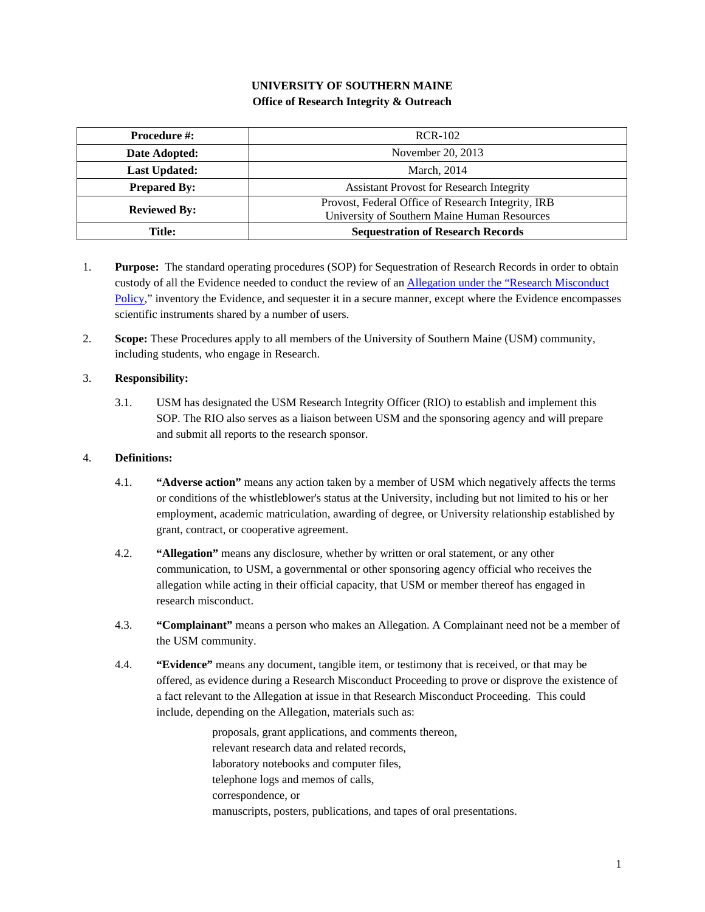# **UNIVERSITY OF SOUTHERN MAINE Office of Research Integrity & Outreach**

| <b>Procedure #:</b>  | <b>RCR-102</b>                                                                                     |
|----------------------|----------------------------------------------------------------------------------------------------|
| Date Adopted:        | November 20, 2013                                                                                  |
| <b>Last Updated:</b> | March, 2014                                                                                        |
| <b>Prepared By:</b>  | <b>Assistant Provost for Research Integrity</b>                                                    |
| <b>Reviewed By:</b>  | Provost, Federal Office of Research Integrity, IRB<br>University of Southern Maine Human Resources |
| Title:               | <b>Sequestration of Research Records</b>                                                           |

- 1. **Purpose:** The standard operating procedures (SOP) for Sequestration of Research Records in order to obtain custody of all the Evidence needed to conduct the review of an Allegation under the "Research Misconduct Policy," inventory the Evidence, and sequester it in a secure manner, except where the Evidence encompasses scientific instruments shared by a number of users.
- 2. **Scope:** These Procedures apply to all members of the University of Southern Maine (USM) community, including students, who engage in Research.

## 3. **Responsibility:**

 3.1. USM has designated the USM Research Integrity Officer (RIO) to establish and implement this SOP. The RIO also serves as a liaison between USM and the sponsoring agency and will prepare and submit all reports to the research sponsor.

### 4. **Definitions:**

- 4.1. **"Adverse action"** means any action taken by a member of USM which negatively affects the terms or conditions of the whistleblower's status at the University, including but not limited to his or her employment, academic matriculation, awarding of degree, or University relationship established by grant, contract, or cooperative agreement.
- 4.2. **"Allegation"** means any disclosure, whether by written or oral statement, or any other communication, to USM, a governmental or other sponsoring agency official who receives the allegation while acting in their official capacity, that USM or member thereof has engaged in research misconduct.
- 4.3. **"Complainant"** means a person who makes an Allegation. A Complainant need not be a member of the USM community.
- 4.4. **"Evidence"** means any document, tangible item, or testimony that is received, or that may be offered, as evidence during a Research Misconduct Proceeding to prove or disprove the existence of a fact relevant to the Allegation at issue in that Research Misconduct Proceeding. This could include, depending on the Allegation, materials such as:

 proposals, grant applications, and comments thereon, relevant research data and related records, laboratory notebooks and computer files, telephone logs and memos of calls, correspondence, or manuscripts, posters, publications, and tapes of oral presentations.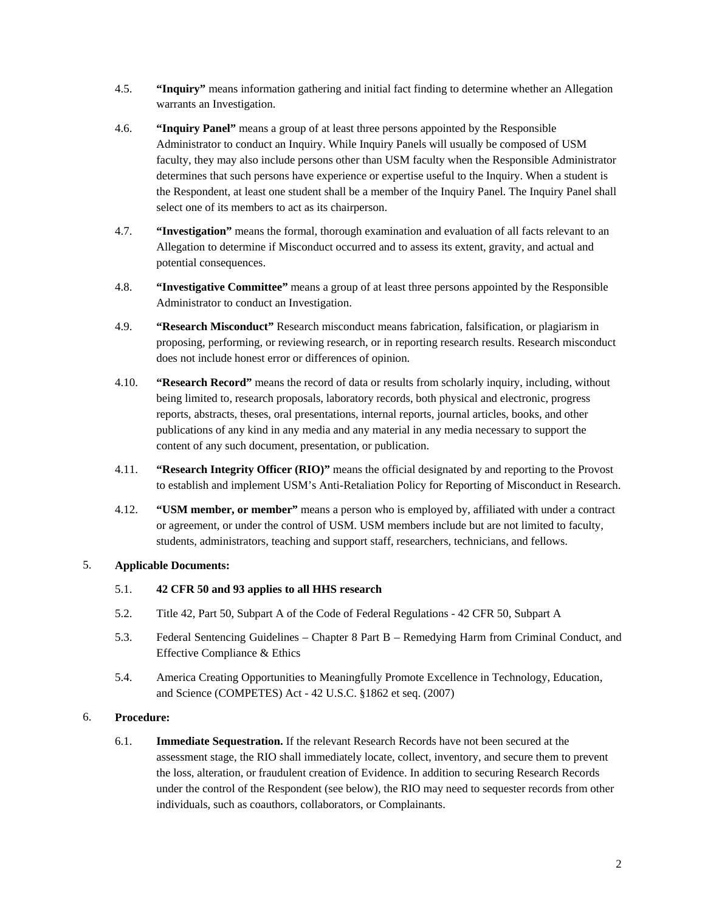- 4.5. **"Inquiry"** means information gathering and initial fact finding to determine whether an Allegation warrants an Investigation.
- 4.6. **"Inquiry Panel"** means a group of at least three persons appointed by the Responsible Administrator to conduct an Inquiry. While Inquiry Panels will usually be composed of USM faculty, they may also include persons other than USM faculty when the Responsible Administrator determines that such persons have experience or expertise useful to the Inquiry. When a student is the Respondent, at least one student shall be a member of the Inquiry Panel. The Inquiry Panel shall select one of its members to act as its chairperson.
- 4.7. **"Investigation"** means the formal, thorough examination and evaluation of all facts relevant to an Allegation to determine if Misconduct occurred and to assess its extent, gravity, and actual and potential consequences.
- 4.8. **"Investigative Committee"** means a group of at least three persons appointed by the Responsible Administrator to conduct an Investigation.
- 4.9. **"Research Misconduct"** Research misconduct means fabrication, falsification, or plagiarism in proposing, performing, or reviewing research, or in reporting research results. Research misconduct does not include honest error or differences of opinion.
- 4.10. **"Research Record"** means the record of data or results from scholarly inquiry, including, without being limited to, research proposals, laboratory records, both physical and electronic, progress reports, abstracts, theses, oral presentations, internal reports, journal articles, books, and other publications of any kind in any media and any material in any media necessary to support the content of any such document, presentation, or publication.
- 4.11. **"Research Integrity Officer (RIO)"** means the official designated by and reporting to the Provost to establish and implement USM's Anti-Retaliation Policy for Reporting of Misconduct in Research.
- 4.12. **"USM member, or member"** means a person who is employed by, affiliated with under a contract or agreement, or under the control of USM. USM members include but are not limited to faculty, students, administrators, teaching and support staff, researchers, technicians, and fellows.

### 5. **Applicable Documents:**

- 5.1. **42 CFR 50 and 93 applies to all HHS research**
- 5.2. Title 42, Part 50, Subpart A of the Code of Federal Regulations 42 CFR 50, Subpart A
- 5.3. Federal Sentencing Guidelines Chapter 8 Part B Remedying Harm from Criminal Conduct, and Effective Compliance & Ethics
- 5.4. America Creating Opportunities to Meaningfully Promote Excellence in Technology, Education, and Science (COMPETES) Act - 42 U.S.C. §1862 et seq. (2007)

#### 6. **Procedure:**

 6.1. **Immediate Sequestration.** If the relevant Research Records have not been secured at the assessment stage, the RIO shall immediately locate, collect, inventory, and secure them to prevent the loss, alteration, or fraudulent creation of Evidence. In addition to securing Research Records under the control of the Respondent (see below), the RIO may need to sequester records from other individuals, such as coauthors, collaborators, or Complainants.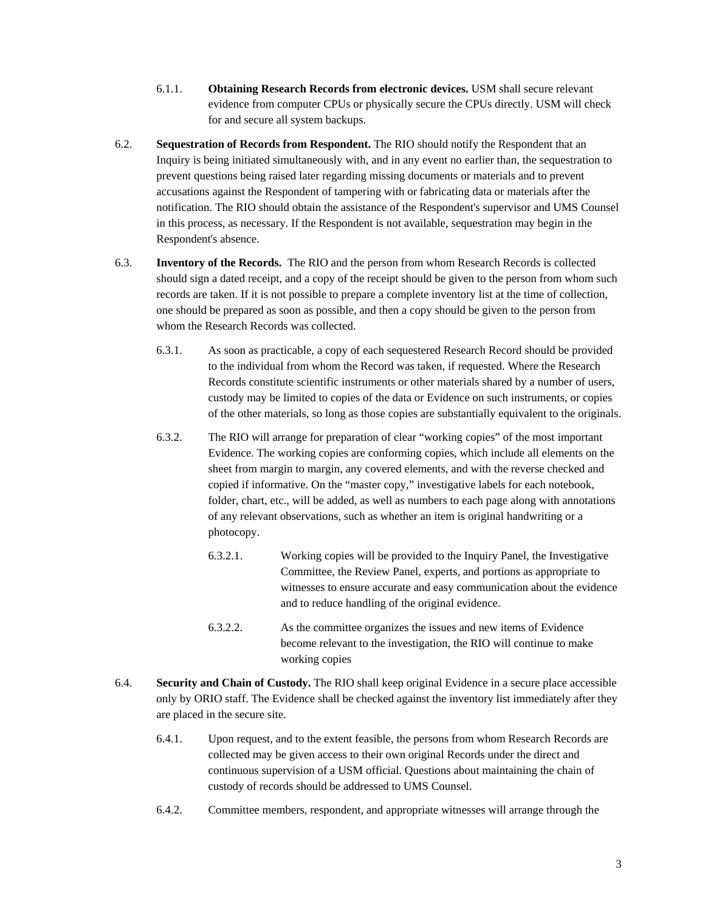- 6.1.1. **Obtaining Research Records from electronic devices.** USM shall secure relevant evidence from computer CPUs or physically secure the CPUs directly. USM will check for and secure all system backups.
- 6.2. **Sequestration of Records from Respondent.** The RIO should notify the Respondent that an Inquiry is being initiated simultaneously with, and in any event no earlier than, the sequestration to prevent questions being raised later regarding missing documents or materials and to prevent accusations against the Respondent of tampering with or fabricating data or materials after the notification. The RIO should obtain the assistance of the Respondent's supervisor and UMS Counsel in this process, as necessary. If the Respondent is not available, sequestration may begin in the Respondent's absence.
- 6.3. **Inventory of the Records.** The RIO and the person from whom Research Records is collected should sign a dated receipt, and a copy of the receipt should be given to the person from whom such records are taken. If it is not possible to prepare a complete inventory list at the time of collection, one should be prepared as soon as possible, and then a copy should be given to the person from whom the Research Records was collected.
	- 6.3.1. As soon as practicable, a copy of each sequestered Research Record should be provided to the individual from whom the Record was taken, if requested. Where the Research Records constitute scientific instruments or other materials shared by a number of users, custody may be limited to copies of the data or Evidence on such instruments, or copies of the other materials, so long as those copies are substantially equivalent to the originals.
	- 6.3.2. The RIO will arrange for preparation of clear "working copies" of the most important Evidence. The working copies are conforming copies, which include all elements on the sheet from margin to margin, any covered elements, and with the reverse checked and copied if informative. On the "master copy," investigative labels for each notebook, folder, chart, etc., will be added, as well as numbers to each page along with annotations of any relevant observations, such as whether an item is original handwriting or a photocopy.
		- 6.3.2.1. Working copies will be provided to the Inquiry Panel, the Investigative Committee, the Review Panel, experts, and portions as appropriate to witnesses to ensure accurate and easy communication about the evidence and to reduce handling of the original evidence.
		- 6.3.2.2. As the committee organizes the issues and new items of Evidence become relevant to the investigation, the RIO will continue to make working copies
- 6.4. **Security and Chain of Custody.** The RIO shall keep original Evidence in a secure place accessible only by ORIO staff. The Evidence shall be checked against the inventory list immediately after they are placed in the secure site.
	- 6.4.1. Upon request, and to the extent feasible, the persons from whom Research Records are collected may be given access to their own original Records under the direct and continuous supervision of a USM official. Questions about maintaining the chain of custody of records should be addressed to UMS Counsel.
	- 6.4.2. Committee members, respondent, and appropriate witnesses will arrange through the